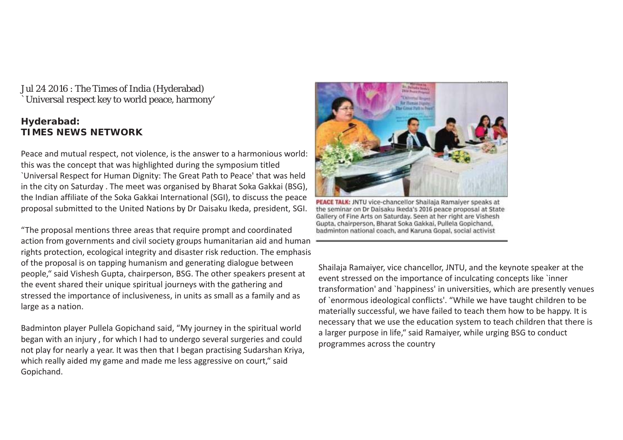Jul 24 2016 : The Times of India (Hyderabad) `Universal respect key to world peace, harmony'

#### *Hyderabad: TIMES NEWS NETWORK*

Peace and mutual respect, not violence, is the answer to a harmonious world: this was the concept that was highlighted during the symposium titled `Universal Respect for Human Dignity: The Great Path to Peace' that was held in the city on Saturday . The meet was organised by Bharat Soka Gakkai (BSG), the Indian affiliate of the Soka Gakkai International (SGI), to discuss the peace proposal submitted to the United Nations by Dr Daisaku Ikeda, president, SGI.

"The proposal mentions three areas that require prompt and coordinated action from governments and civil society groups humanitarian aid and human rights protection, ecological integrity and disaster risk reduction. The emphasis of the proposal is on tapping humanism and generating dialogue between people," said Vishesh Gupta, chairperson, BSG. The other speakers present at the event shared their unique spiritual journeys with the gathering and stressed the importance of inclusiveness, in units as small as a family and as large as a nation.

Badminton player Pullela Gopichand said, "My journey in the spiritual world began with an injury , for which I had to undergo several surgeries and could not play for nearly a year. It was then that I began practising Sudarshan Kriya, which really aided my game and made me less aggressive on court," said Gopichand.



PEACE TALK: JNTU vice-chancellor Shailaja Ramaiyer speaks at the seminar on Dr Daisaku Ikeda's 2016 peace proposal at State Gallery of Fine Arts on Saturday. Seen at her right are Vishesh Gupta, chairperson, Bharat Soka Gakkai, Pullela Gopichand, badminton national coach, and Karuna Gopal, social activist

Shailaja Ramaiyer, vice chancellor, JNTU, and the keynote speaker at the event stressed on the importance of inculcating concepts like `inner transformation' and `happiness' in universities, which are presently venues of `enormous ideological conflicts'. "While we have taught children to be materially successful, we have failed to teach them how to be happy. It is necessary that we use the education system to teach children that there is a larger purpose in life," said Ramaiyer, while urging BSG to conduct programmes across the country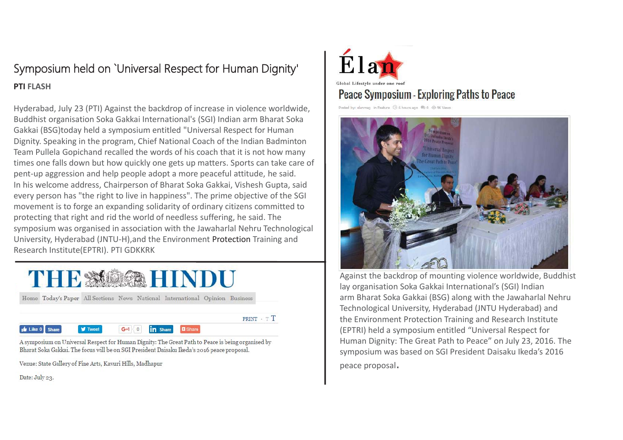## Symposium held on `Universal Respect for Human Dignity' **PTI FLASH**

Hyderabad, July 23 (PTI) Against the backdrop of increase in violence worldwide, Buddhist organisation Soka Gakkai International's (SGI) Indian arm Bharat Soka Gakkai (BSG)today held a symposium entitled "Universal Respect for Human Dignity. Speaking in the program, Chief National Coach of the Indian Badminton Team Pullela Gopichand recalled the words of his coach that it is not how many times one falls down but how quickly one gets up matters. Sports can take care of pent-up aggression and help people adopt a more peaceful attitude, he said. In his welcome address, Chairperson of Bharat Soka Gakkai, Vishesh Gupta, said every person has "the right to live in happiness". The prime objective of the SGI movement is to forge an expanding solidarity of ordinary citizens committed to protecting that right and rid the world of needless suffering, he said. The symposium was organised in association with the Jawaharlal Nehru Technological University, Hyderabad (JNTU-H),and the Environment Protection Training and Research Institute(EPTRI). PTI GDKKRK



A symposium on Universal Respect for Human Dignity: The Great Path to Peace is being organised by Bharat Soka Gakkai. The focus will be on SGI President Daisaku Ikeda's 2016 peace proposal.

Venue: State Gallery of Fine Arts, Kavuri Hills, Madhapur

Date: July 23.

 $\frac{1}{2}$  like 0 Share



### Peace Symposium - Exploring Paths to Peace

Posted by: elanmag in Feature ( 6 6 hours ago ( 9 0 6 96 Views



Against the backdrop of mounting violence worldwide, Buddhist lay organisation Soka Gakkai International's (SGI) Indian arm Bharat Soka Gakkai (BSG) along with the Jawaharlal Nehru Technological University, Hyderabad (JNTU Hyderabad) and the Environment Protection Training and Research Institute (EPTRI) held a symposium entitled "Universal Respect for Human Dignity: The Great Path to Peace" on July 23, 2016. The symposium was based on SGI President Daisaku Ikeda's 2016

peace proposal.